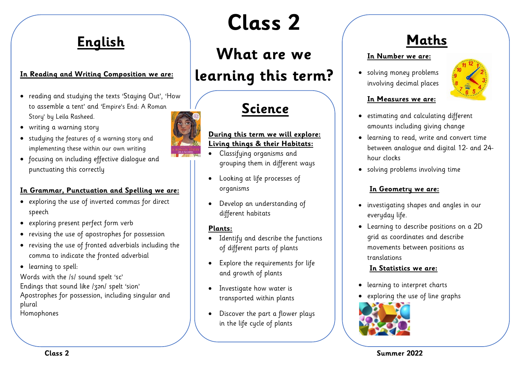### **English**

#### **In Reading and Writing Composition we are:**

- reading and studying the texts 'Staying Out', 'How to assemble a tent' and 'Empire's End: A Roman Story' by Leila Rasheed.
- writing a warning story
- studying the features of a warning story and implementing these within our own writing
- focusing on including effective dialogue and punctuating this correctly

#### **In Grammar, Punctuation and Spelling we are:**

- exploring the use of inverted commas for direct speech
- exploring present perfect form verb
- revising the use of apostrophes for possession
- revising the use of fronted adverbials including the comma to indicate the fronted adverbial
- learning to spell:

Words with the /s/ sound spelt 'sc' Endings that sound like /ʒən/ spelt 'sion' Apostrophes for possession, including singular and plural Homophones

# **Class 2**

# **What are we learning this term?**

# **Science**

#### **During this term we will explore: Living things & their Habitats:**

- Classifying organisms and grouping them in different ways
- Looking at life processes of organisms
- Develop an understanding of different habitats

#### **Plants:**

- Identify and describe the functions of different parts of plants
- Explore the requirements for life and growth of plants
- Investigate how water is transported within plants
- Discover the part a flower plays in the life cycle of plants

### **Maths**

#### **In Number we are:**

• solving money problems involving decimal places



#### **In Measures we are:**

- estimating and calculating different amounts including giving change
- learning to read, write and convert time between analogue and digital 12- and 24 hour clocks
- solving problems involving time

#### **In Geometry we are:**

- investigating shapes and angles in our everyday life.
- Learning to describe positions on a 2D grid as coordinates and describe movements between positions as translations

#### **In Statistics we are:**

- learning to interpret charts
- exploring the use of line graphs